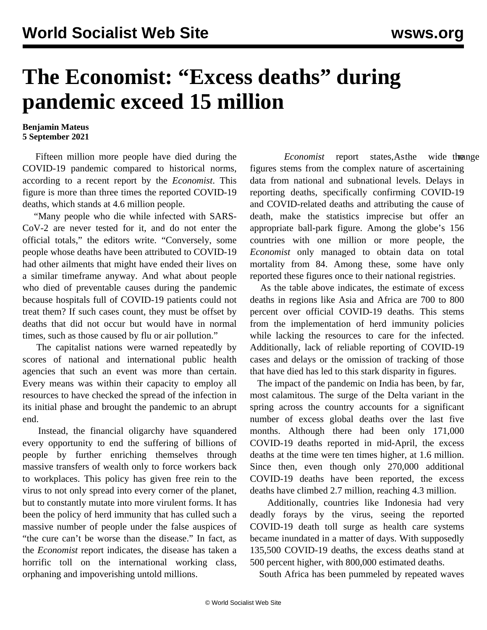## **The Economist: "Excess deaths" during pandemic exceed 15 million**

## **Benjamin Mateus 5 September 2021**

 Fifteen million more people have died during the COVID-19 pandemic compared to historical norms, according to a recent report by the *[Economist](https://www.economist.com/graphic-detail/coronavirus-excess-deaths-estimates)*. This figure is more than three times the reported COVID-19 deaths, which stands at 4.6 million people.

 "Many people who die while infected with SARS-CoV-2 are never tested for it, and do not enter the official totals," the editors write. "Conversely, some people whose deaths have been attributed to COVID-19 had other ailments that might have ended their lives on a similar timeframe anyway. And what about people who died of preventable causes during the pandemic because hospitals full of COVID-19 patients could not treat them? If such cases count, they must be offset by deaths that did not occur but would have in normal times, such as those caused by flu or air pollution."

 The capitalist nations were warned repeatedly by scores of national and international public health agencies that such an event was more than certain. Every means was within their capacity to employ all resources to have checked the spread of the infection in its initial phase and brought the pandemic to an abrupt end.

 Instead, the financial oligarchy have squandered every opportunity to end the suffering of billions of people by further enriching themselves through massive transfers of wealth only to force workers back to workplaces. This policy has given free rein to the virus to not only spread into every corner of the planet, but to constantly mutate into more virulent forms. It has been the policy of herd immunity that has culled such a massive number of people under the false auspices of "the cure can't be worse than the disease." In fact, as the *Economist* report indicates, the disease has taken a horrific toll on the international working class, orphaning and impoverishing untold millions.

*Economist* report states, As the wide then ge figures stems from the complex nature of ascertaining data from national and subnational levels. Delays in reporting deaths, specifically confirming COVID-19 and COVID-related deaths and attributing the cause of death, make the statistics imprecise but offer an appropriate ball-park figure. Among the globe's 156 countries with one million or more people, the *Economist* only managed to obtain data on total mortality from 84. Among these, some have only reported these figures once to their national registries.

 As the table above indicates, the estimate of excess deaths in regions like Asia and Africa are 700 to 800 percent over official COVID-19 deaths. This stems from the implementation of herd immunity policies while lacking the resources to care for the infected. Additionally, lack of reliable reporting of COVID-19 cases and delays or the omission of tracking of those that have died has led to this stark disparity in figures.

 The impact of the pandemic on India has been, by far, most calamitous. The surge of the Delta variant in the spring across the country accounts for a significant number of excess global deaths over the last five months. Although there had been only 171,000 COVID-19 deaths reported in mid-April, the excess deaths at the time were ten times higher, at 1.6 million. Since then, even though only 270,000 additional COVID-19 deaths have been reported, the excess deaths have climbed 2.7 million, reaching 4.3 million.

 Additionally, countries like Indonesia had very deadly forays by the virus, seeing the reported COVID-19 death toll surge as health care systems became inundated in a matter of days. With supposedly 135,500 COVID-19 deaths, the excess deaths stand at 500 percent higher, with 800,000 estimated deaths.

South Africa has been pummeled by repeated waves